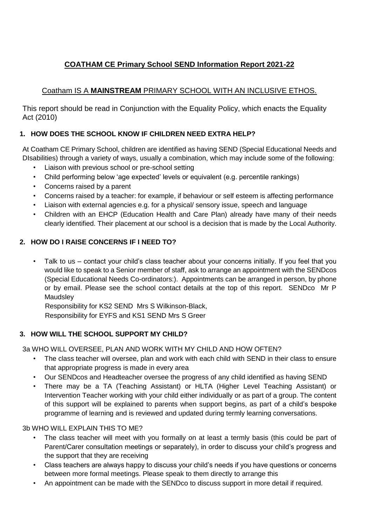# **COATHAM CE Primary School SEND Information Report 2021-22**

# Coatham IS A **MAINSTREAM** PRIMARY SCHOOL WITH AN INCLUSIVE ETHOS.

This report should be read in Conjunction with the Equality Policy, which enacts the Equality Act (2010)

# **1. HOW DOES THE SCHOOL KNOW IF CHILDREN NEED EXTRA HELP?**

At Coatham CE Primary School, children are identified as having SEND (Special Educational Needs and DIsabilities) through a variety of ways, usually a combination, which may include some of the following:

- Liaison with previous school or pre-school setting
- Child performing below 'age expected' levels or equivalent (e.g. percentile rankings)
- Concerns raised by a parent
- Concerns raised by a teacher: for example, if behaviour or self esteem is affecting performance
- Liaison with external agencies e.g. for a physical/ sensory issue, speech and language
- Children with an EHCP (Education Health and Care Plan) already have many of their needs clearly identified. Their placement at our school is a decision that is made by the Local Authority.

## **2. HOW DO I RAISE CONCERNS IF I NEED TO?**

• Talk to us – contact your child's class teacher about your concerns initially. If you feel that you would like to speak to a Senior member of staff, ask to arrange an appointment with the SENDcos (Special Educational Needs Co-ordinators:). Appointments can be arranged in person, by phone or by email. Please see the school contact details at the top of this report. SENDco Mr P **Maudsley** 

Responsibility for KS2 SEND Mrs S Wilkinson-Black, Responsibility for EYFS and KS1 SEND Mrs S Greer

# **3. HOW WILL THE SCHOOL SUPPORT MY CHILD?**

3a WHO WILL OVERSEE, PLAN AND WORK WITH MY CHILD AND HOW OFTEN?

- The class teacher will oversee, plan and work with each child with SEND in their class to ensure that appropriate progress is made in every area
- Our SENDcos and Headteacher oversee the progress of any child identified as having SEND
- There may be a TA (Teaching Assistant) or HLTA (Higher Level Teaching Assistant) or Intervention Teacher working with your child either individually or as part of a group. The content of this support will be explained to parents when support begins, as part of a child's bespoke programme of learning and is reviewed and updated during termly learning conversations.

3b WHO WILL EXPLAIN THIS TO ME?

- The class teacher will meet with you formally on at least a termly basis (this could be part of Parent/Carer consultation meetings or separately), in order to discuss your child's progress and the support that they are receiving
- Class teachers are always happy to discuss your child's needs if you have questions or concerns between more formal meetings. Please speak to them directly to arrange this
- An appointment can be made with the SENDco to discuss support in more detail if required.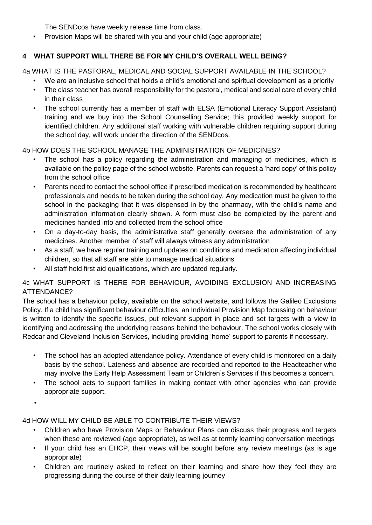The SENDcos have weekly release time from class.

• Provision Maps will be shared with you and your child (age appropriate)

# **4 WHAT SUPPORT WILL THERE BE FOR MY CHILD'S OVERALL WELL BEING?**

4a WHAT IS THE PASTORAL, MEDICAL AND SOCIAL SUPPORT AVAILABLE IN THE SCHOOL?

- We are an inclusive school that holds a child's emotional and spiritual development as a priority
- The class teacher has overall responsibility for the pastoral, medical and social care of every child in their class
- The school currently has a member of staff with ELSA (Emotional Literacy Support Assistant) training and we buy into the School Counselling Service; this provided weekly support for identified children. Any additional staff working with vulnerable children requiring support during the school day, will work under the direction of the SENDcos.

## 4b HOW DOES THE SCHOOL MANAGE THE ADMINISTRATION OF MEDICINES?

- The school has a policy regarding the administration and managing of medicines, which is available on the policy page of the school website. Parents can request a 'hard copy' of this policy from the school office
- Parents need to contact the school office if prescribed medication is recommended by healthcare professionals and needs to be taken during the school day. Any medication must be given to the school in the packaging that it was dispensed in by the pharmacy, with the child's name and administration information clearly shown. A form must also be completed by the parent and medicines handed into and collected from the school office
- On a day-to-day basis, the administrative staff generally oversee the administration of any medicines. Another member of staff will always witness any administration
- As a staff, we have regular training and updates on conditions and medication affecting individual children, so that all staff are able to manage medical situations
- All staff hold first aid qualifications, which are updated regularly.

#### 4c WHAT SUPPORT IS THERE FOR BEHAVIOUR, AVOIDING EXCLUSION AND INCREASING ATTENDANCE?

The school has a behaviour policy, available on the school website, and follows the Galileo Exclusions Policy. If a child has significant behaviour difficulties, an Individual Provision Map focussing on behaviour is written to identify the specific issues, put relevant support in place and set targets with a view to identifying and addressing the underlying reasons behind the behaviour. The school works closely with Redcar and Cleveland Inclusion Services, including providing 'home' support to parents if necessary.

- The school has an adopted attendance policy. Attendance of every child is monitored on a daily basis by the school. Lateness and absence are recorded and reported to the Headteacher who may involve the Early Help Assessment Team or Children's Services if this becomes a concern.
- The school acts to support families in making contact with other agencies who can provide appropriate support.
- •

## 4d HOW WILL MY CHILD BE ABLE TO CONTRIBUTE THEIR VIEWS?

- Children who have Provision Maps or Behaviour Plans can discuss their progress and targets when these are reviewed (age appropriate), as well as at termly learning conversation meetings
- If your child has an EHCP, their views will be sought before any review meetings (as is age appropriate)
- Children are routinely asked to reflect on their learning and share how they feel they are progressing during the course of their daily learning journey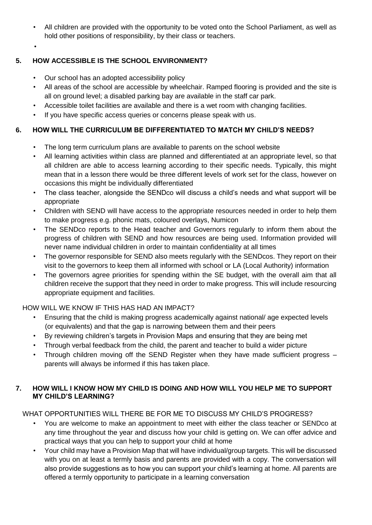- All children are provided with the opportunity to be voted onto the School Parliament, as well as hold other positions of responsibility, by their class or teachers.
- •

### **5. HOW ACCESSIBLE IS THE SCHOOL ENVIRONMENT?**

- Our school has an adopted accessibility policy
- All areas of the school are accessible by wheelchair. Ramped flooring is provided and the site is all on ground level; a disabled parking bay are available in the staff car park.
- Accessible toilet facilities are available and there is a wet room with changing facilities.
- If you have specific access queries or concerns please speak with us.

#### **6. HOW WILL THE CURRICULUM BE DIFFERENTIATED TO MATCH MY CHILD'S NEEDS?**

- The long term curriculum plans are available to parents on the school website
- All learning activities within class are planned and differentiated at an appropriate level, so that all children are able to access learning according to their specific needs. Typically, this might mean that in a lesson there would be three different levels of work set for the class, however on occasions this might be individually differentiated
- The class teacher, alongside the SENDco will discuss a child's needs and what support will be appropriate
- Children with SEND will have access to the appropriate resources needed in order to help them to make progress e.g. phonic mats, coloured overlays, Numicon
- The SENDco reports to the Head teacher and Governors regularly to inform them about the progress of children with SEND and how resources are being used. Information provided will never name individual children in order to maintain confidentiality at all times
- The governor responsible for SEND also meets regularly with the SENDcos. They report on their visit to the governors to keep them all informed with school or LA (Local Authority) information
- The governors agree priorities for spending within the SE budget, with the overall aim that all children receive the support that they need in order to make progress. This will include resourcing appropriate equipment and facilities.

#### HOW WILL WE KNOW IF THIS HAS HAD AN IMPACT?

- Ensuring that the child is making progress academically against national/ age expected levels (or equivalents) and that the gap is narrowing between them and their peers
- By reviewing children's targets in Provision Maps and ensuring that they are being met
- Through verbal feedback from the child, the parent and teacher to build a wider picture
- Through children moving off the SEND Register when they have made sufficient progress parents will always be informed if this has taken place.

#### **7. HOW WILL I KNOW HOW MY CHILD IS DOING AND HOW WILL YOU HELP ME TO SUPPORT MY CHILD'S LEARNING?**

#### WHAT OPPORTUNITIES WILL THERE BE FOR ME TO DISCUSS MY CHILD'S PROGRESS?

- You are welcome to make an appointment to meet with either the class teacher or SENDco at any time throughout the year and discuss how your child is getting on. We can offer advice and practical ways that you can help to support your child at home
- Your child may have a Provision Map that will have individual/group targets. This will be discussed with you on at least a termly basis and parents are provided with a copy. The conversation will also provide suggestions as to how you can support your child's learning at home. All parents are offered a termly opportunity to participate in a learning conversation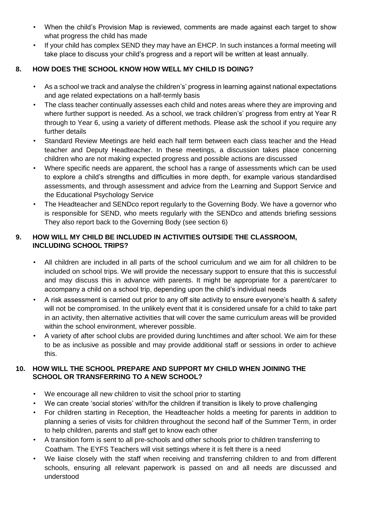- When the child's Provision Map is reviewed, comments are made against each target to show what progress the child has made
- If your child has complex SEND they may have an EHCP. In such instances a formal meeting will take place to discuss your child's progress and a report will be written at least annually.

## **8. HOW DOES THE SCHOOL KNOW HOW WELL MY CHILD IS DOING?**

- As a school we track and analyse the children's' progress in learning against national expectations and age related expectations on a half-termly basis
- The class teacher continually assesses each child and notes areas where they are improving and where further support is needed. As a school, we track children's' progress from entry at Year R through to Year 6, using a variety of different methods. Please ask the school if you require any further details
- Standard Review Meetings are held each half term between each class teacher and the Head teacher and Deputy Headteacher. In these meetings, a discussion takes place concerning children who are not making expected progress and possible actions are discussed
- Where specific needs are apparent, the school has a range of assessments which can be used to explore a child's strengths and difficulties in more depth, for example various standardised assessments, and through assessment and advice from the Learning and Support Service and the Educational Psychology Service
- The Headteacher and SENDco report regularly to the Governing Body. We have a governor who is responsible for SEND, who meets regularly with the SENDco and attends briefing sessions They also report back to the Governing Body (see section 6)

#### **9. HOW WILL MY CHILD BE INCLUDED IN ACTIVITIES OUTSIDE THE CLASSROOM, INCLUDING SCHOOL TRIPS?**

- All children are included in all parts of the school curriculum and we aim for all children to be included on school trips. We will provide the necessary support to ensure that this is successful and may discuss this in advance with parents. It might be appropriate for a parent/carer to accompany a child on a school trip, depending upon the child's individual needs
- A risk assessment is carried out prior to any off site activity to ensure everyone's health & safety will not be compromised. In the unlikely event that it is considered unsafe for a child to take part in an activity, then alternative activities that will cover the same curriculum areas will be provided within the school environment, wherever possible.
- A variety of after school clubs are provided during lunchtimes and after school. We aim for these to be as inclusive as possible and may provide additional staff or sessions in order to achieve this.

#### **10. HOW WILL THE SCHOOL PREPARE AND SUPPORT MY CHILD WHEN JOINING THE SCHOOL OR TRANSFERRING TO A NEW SCHOOL?**

- We encourage all new children to visit the school prior to starting
- We can create 'social stories' with/for the children if transition is likely to prove challenging
- For children starting in Reception, the Headteacher holds a meeting for parents in addition to planning a series of visits for children throughout the second half of the Summer Term, in order to help children, parents and staff get to know each other
- A transition form is sent to all pre-schools and other schools prior to children transferring to Coatham. The EYFS Teachers will visit settings where it is felt there is a need
- We liaise closely with the staff when receiving and transferring children to and from different schools, ensuring all relevant paperwork is passed on and all needs are discussed and understood